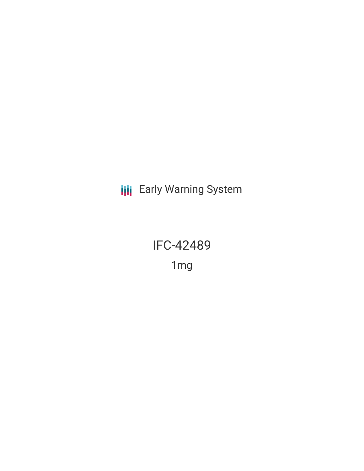**III** Early Warning System

IFC-42489 1mg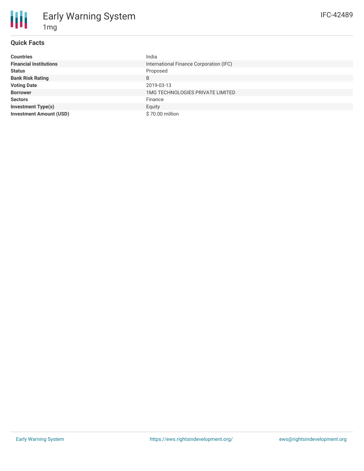## **Quick Facts**

1mg

Early Warning System

| <b>Countries</b>               | India                                   |
|--------------------------------|-----------------------------------------|
| <b>Financial Institutions</b>  | International Finance Corporation (IFC) |
| <b>Status</b>                  | Proposed                                |
| <b>Bank Risk Rating</b>        | B                                       |
| <b>Voting Date</b>             | 2019-03-13                              |
| <b>Borrower</b>                | <b>1MG TECHNOLOGIES PRIVATE LIMITED</b> |
| <b>Sectors</b>                 | Finance                                 |
| <b>Investment Type(s)</b>      | Equity                                  |
| <b>Investment Amount (USD)</b> | \$70.00 million                         |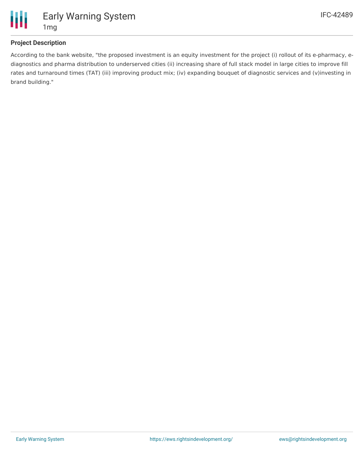

#### **Project Description**

According to the bank website, "the proposed investment is an equity investment for the project (i) rollout of its e-pharmacy, ediagnostics and pharma distribution to underserved cities (ii) increasing share of full stack model in large cities to improve fill rates and turnaround times (TAT) (iii) improving product mix; (iv) expanding bouquet of diagnostic services and (v)investing in brand building."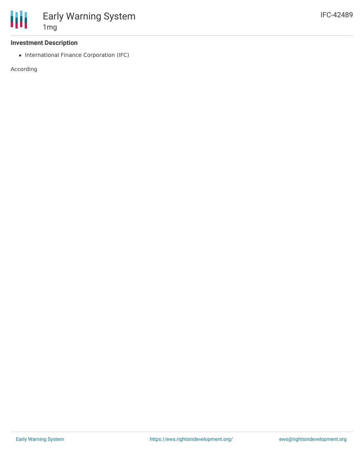

#### **Investment Description**

1mg

• International Finance Corporation (IFC)

Early Warning System

According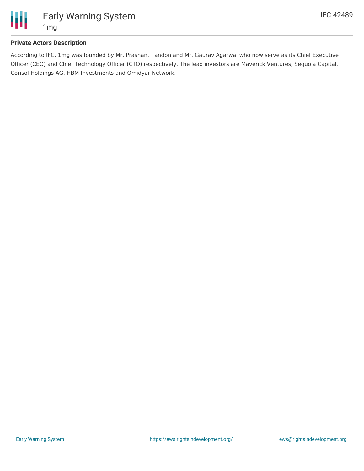

# Early Warning System 1mg

## **Private Actors Description**

According to IFC, 1mg was founded by Mr. Prashant Tandon and Mr. Gaurav Agarwal who now serve as its Chief Executive Officer (CEO) and Chief Technology Officer (CTO) respectively. The lead investors are Maverick Ventures, Sequoia Capital, Corisol Holdings AG, HBM Investments and Omidyar Network.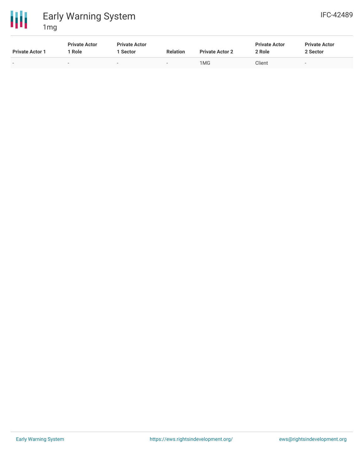

# Early Warning System 1mg

| . 9                    |                                |                                  |                          |                        |                                |                                  |  |
|------------------------|--------------------------------|----------------------------------|--------------------------|------------------------|--------------------------------|----------------------------------|--|
| <b>Private Actor 1</b> | <b>Private Actor</b><br>1 Role | <b>Private Actor</b><br>l Sector | <b>Relation</b>          | <b>Private Actor 2</b> | <b>Private Actor</b><br>2 Role | <b>Private Actor</b><br>2 Sector |  |
| $\sim$                 | $\sim$                         | $\overline{\phantom{0}}$         | $\overline{\phantom{0}}$ | 1MG                    | Client                         | $\sim$                           |  |